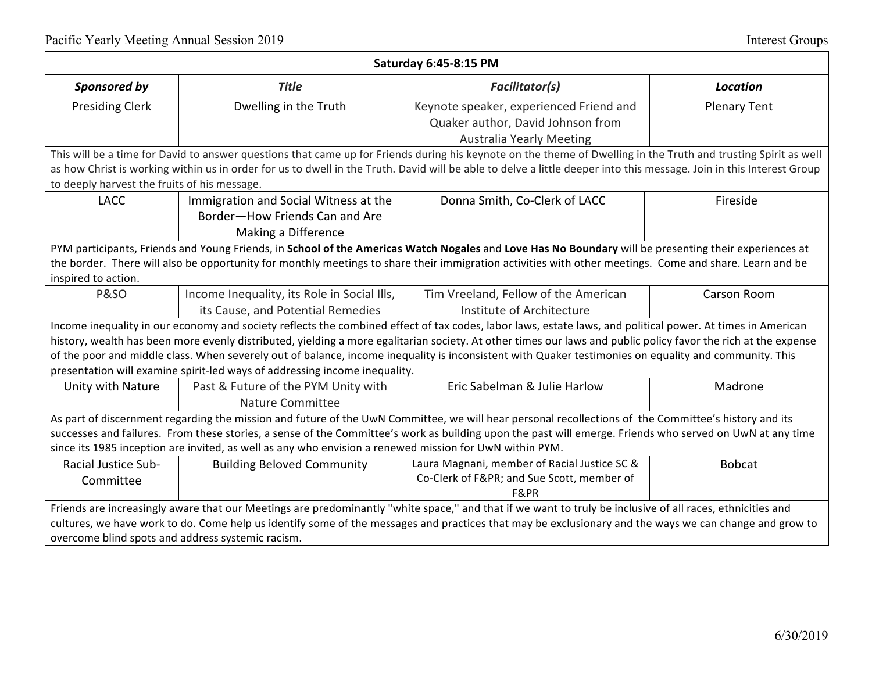| <b>Saturday 6:45-8:15 PM</b>                                                                                                                                                                                                                                                                                                                                                                                                                                                                                                                                        |                                                                                                |                                                                                                                 |                     |  |  |
|---------------------------------------------------------------------------------------------------------------------------------------------------------------------------------------------------------------------------------------------------------------------------------------------------------------------------------------------------------------------------------------------------------------------------------------------------------------------------------------------------------------------------------------------------------------------|------------------------------------------------------------------------------------------------|-----------------------------------------------------------------------------------------------------------------|---------------------|--|--|
| Sponsored by                                                                                                                                                                                                                                                                                                                                                                                                                                                                                                                                                        | <b>Title</b>                                                                                   | <b>Facilitator(s)</b>                                                                                           | <b>Location</b>     |  |  |
| <b>Presiding Clerk</b>                                                                                                                                                                                                                                                                                                                                                                                                                                                                                                                                              | Dwelling in the Truth                                                                          | Keynote speaker, experienced Friend and<br>Quaker author, David Johnson from<br><b>Australia Yearly Meeting</b> | <b>Plenary Tent</b> |  |  |
| This will be a time for David to answer questions that came up for Friends during his keynote on the theme of Dwelling in the Truth and trusting Spirit as well<br>as how Christ is working within us in order for us to dwell in the Truth. David will be able to delve a little deeper into this message. Join in this Interest Group<br>to deeply harvest the fruits of his message.                                                                                                                                                                             |                                                                                                |                                                                                                                 |                     |  |  |
| <b>LACC</b>                                                                                                                                                                                                                                                                                                                                                                                                                                                                                                                                                         | Immigration and Social Witness at the<br>Border-How Friends Can and Are<br>Making a Difference | Donna Smith, Co-Clerk of LACC                                                                                   | Fireside            |  |  |
| PYM participants, Friends and Young Friends, in School of the Americas Watch Nogales and Love Has No Boundary will be presenting their experiences at<br>the border. There will also be opportunity for monthly meetings to share their immigration activities with other meetings. Come and share. Learn and be<br>inspired to action.                                                                                                                                                                                                                             |                                                                                                |                                                                                                                 |                     |  |  |
| <b>P&amp;SO</b>                                                                                                                                                                                                                                                                                                                                                                                                                                                                                                                                                     | Income Inequality, its Role in Social Ills,<br>its Cause, and Potential Remedies               | Tim Vreeland, Fellow of the American<br>Institute of Architecture                                               | Carson Room         |  |  |
| Income inequality in our economy and society reflects the combined effect of tax codes, labor laws, estate laws, and political power. At times in American<br>history, wealth has been more evenly distributed, yielding a more egalitarian society. At other times our laws and public policy favor the rich at the expense<br>of the poor and middle class. When severely out of balance, income inequality is inconsistent with Quaker testimonies on equality and community. This<br>presentation will examine spirit-led ways of addressing income inequality. |                                                                                                |                                                                                                                 |                     |  |  |
| Unity with Nature                                                                                                                                                                                                                                                                                                                                                                                                                                                                                                                                                   | Past & Future of the PYM Unity with<br><b>Nature Committee</b>                                 | Eric Sabelman & Julie Harlow                                                                                    | Madrone             |  |  |
| As part of discernment regarding the mission and future of the UwN Committee, we will hear personal recollections of the Committee's history and its<br>successes and failures. From these stories, a sense of the Committee's work as building upon the past will emerge. Friends who served on UwN at any time<br>since its 1985 inception are invited, as well as any who envision a renewed mission for UwN within PYM.                                                                                                                                         |                                                                                                |                                                                                                                 |                     |  |  |
| <b>Racial Justice Sub-</b><br>Committee                                                                                                                                                                                                                                                                                                                                                                                                                                                                                                                             | <b>Building Beloved Community</b>                                                              | Laura Magnani, member of Racial Justice SC &<br>Co-Clerk of F≺ and Sue Scott, member of<br>F&PR                 | <b>Bobcat</b>       |  |  |
| Friends are increasingly aware that our Meetings are predominantly "white space," and that if we want to truly be inclusive of all races, ethnicities and<br>cultures, we have work to do. Come help us identify some of the messages and practices that may be exclusionary and the ways we can change and grow to<br>overcome blind spots and address systemic racism.                                                                                                                                                                                            |                                                                                                |                                                                                                                 |                     |  |  |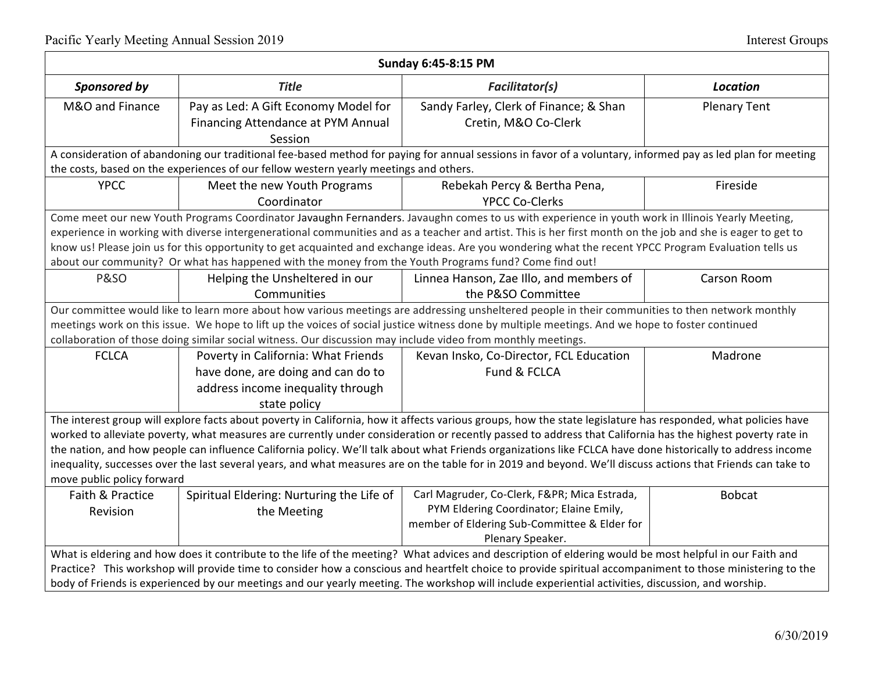| Sunday 6:45-8:15 PM                                                                                                                                          |                                                                                                              |                                                                                                                                                               |                     |  |  |
|--------------------------------------------------------------------------------------------------------------------------------------------------------------|--------------------------------------------------------------------------------------------------------------|---------------------------------------------------------------------------------------------------------------------------------------------------------------|---------------------|--|--|
| Sponsored by                                                                                                                                                 | <b>Title</b>                                                                                                 | <b>Facilitator(s)</b>                                                                                                                                         | <b>Location</b>     |  |  |
| M&O and Finance                                                                                                                                              | Pay as Led: A Gift Economy Model for                                                                         | Sandy Farley, Clerk of Finance; & Shan                                                                                                                        | <b>Plenary Tent</b> |  |  |
|                                                                                                                                                              | Financing Attendance at PYM Annual                                                                           | Cretin, M&O Co-Clerk                                                                                                                                          |                     |  |  |
|                                                                                                                                                              | Session                                                                                                      |                                                                                                                                                               |                     |  |  |
|                                                                                                                                                              |                                                                                                              | A consideration of abandoning our traditional fee-based method for paying for annual sessions in favor of a voluntary, informed pay as led plan for meeting   |                     |  |  |
|                                                                                                                                                              | the costs, based on the experiences of our fellow western yearly meetings and others.                        |                                                                                                                                                               |                     |  |  |
| <b>YPCC</b>                                                                                                                                                  | Meet the new Youth Programs                                                                                  | Rebekah Percy & Bertha Pena,                                                                                                                                  | Fireside            |  |  |
|                                                                                                                                                              | Coordinator                                                                                                  | <b>YPCC Co-Clerks</b>                                                                                                                                         |                     |  |  |
|                                                                                                                                                              |                                                                                                              | Come meet our new Youth Programs Coordinator Javaughn Fernanders. Javaughn comes to us with experience in youth work in Illinois Yearly Meeting,              |                     |  |  |
|                                                                                                                                                              |                                                                                                              | experience in working with diverse intergenerational communities and as a teacher and artist. This is her first month on the job and she is eager to get to   |                     |  |  |
|                                                                                                                                                              |                                                                                                              | know us! Please join us for this opportunity to get acquainted and exchange ideas. Are you wondering what the recent YPCC Program Evaluation tells us         |                     |  |  |
| about our community? Or what has happened with the money from the Youth Programs fund? Come find out!                                                        |                                                                                                              |                                                                                                                                                               |                     |  |  |
| <b>P&amp;SO</b>                                                                                                                                              | Helping the Unsheltered in our                                                                               | Linnea Hanson, Zae Illo, and members of                                                                                                                       | Carson Room         |  |  |
|                                                                                                                                                              | Communities                                                                                                  | the P&SO Committee                                                                                                                                            |                     |  |  |
|                                                                                                                                                              |                                                                                                              | Our committee would like to learn more about how various meetings are addressing unsheltered people in their communities to then network monthly              |                     |  |  |
|                                                                                                                                                              |                                                                                                              | meetings work on this issue. We hope to lift up the voices of social justice witness done by multiple meetings. And we hope to foster continued               |                     |  |  |
|                                                                                                                                                              | collaboration of those doing similar social witness. Our discussion may include video from monthly meetings. |                                                                                                                                                               |                     |  |  |
| <b>FCLCA</b>                                                                                                                                                 | Poverty in California: What Friends                                                                          | Kevan Insko, Co-Director, FCL Education                                                                                                                       | Madrone             |  |  |
|                                                                                                                                                              | have done, are doing and can do to                                                                           | Fund & FCLCA                                                                                                                                                  |                     |  |  |
|                                                                                                                                                              | address income inequality through                                                                            |                                                                                                                                                               |                     |  |  |
|                                                                                                                                                              | state policy                                                                                                 |                                                                                                                                                               |                     |  |  |
|                                                                                                                                                              |                                                                                                              | The interest group will explore facts about poverty in California, how it affects various groups, how the state legislature has responded, what policies have |                     |  |  |
|                                                                                                                                                              |                                                                                                              | worked to alleviate poverty, what measures are currently under consideration or recently passed to address that California has the highest poverty rate in    |                     |  |  |
| the nation, and how people can influence California policy. We'll talk about what Friends organizations like FCLCA have done historically to address income  |                                                                                                              |                                                                                                                                                               |                     |  |  |
| inequality, successes over the last several years, and what measures are on the table for in 2019 and beyond. We'll discuss actions that Friends can take to |                                                                                                              |                                                                                                                                                               |                     |  |  |
| move public policy forward                                                                                                                                   |                                                                                                              |                                                                                                                                                               |                     |  |  |
| Faith & Practice                                                                                                                                             | Spiritual Eldering: Nurturing the Life of                                                                    | Carl Magruder, Co-Clerk, F≺ Mica Estrada,                                                                                                                     | <b>Bobcat</b>       |  |  |
| Revision                                                                                                                                                     | the Meeting                                                                                                  | PYM Eldering Coordinator; Elaine Emily,                                                                                                                       |                     |  |  |
|                                                                                                                                                              |                                                                                                              | member of Eldering Sub-Committee & Elder for                                                                                                                  |                     |  |  |
|                                                                                                                                                              |                                                                                                              | Plenary Speaker.                                                                                                                                              |                     |  |  |
| What is eldering and how does it contribute to the life of the meeting? What advices and description of eldering would be most helpful in our Faith and      |                                                                                                              |                                                                                                                                                               |                     |  |  |
| Practice? This workshop will provide time to consider how a conscious and heartfelt choice to provide spiritual accompaniment to those ministering to the    |                                                                                                              |                                                                                                                                                               |                     |  |  |
| body of Friends is experienced by our meetings and our yearly meeting. The workshop will include experiential activities, discussion, and worship.           |                                                                                                              |                                                                                                                                                               |                     |  |  |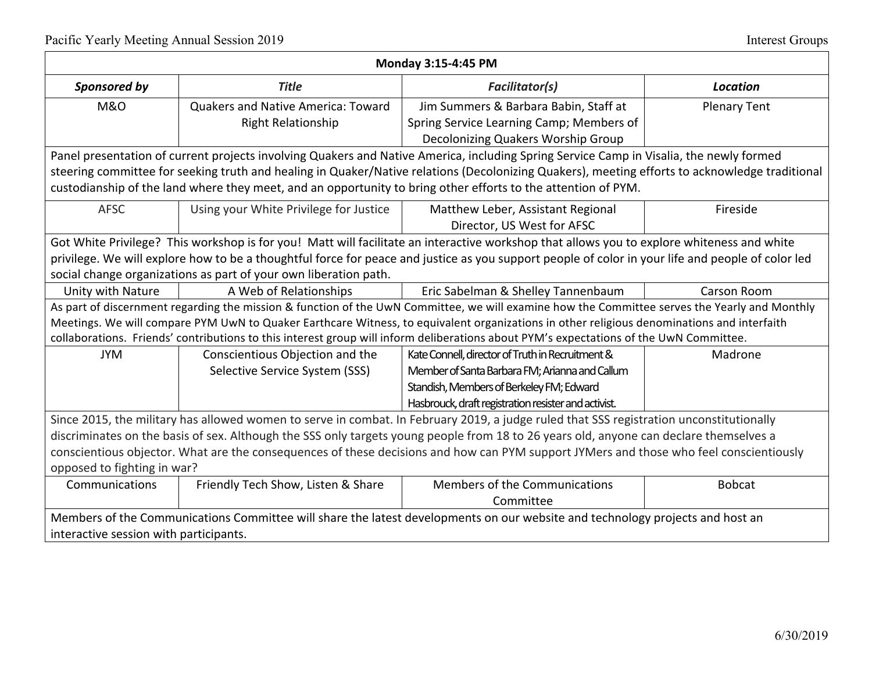| Monday 3:15-4:45 PM                                                                                                                     |                                                                  |                                                                                                                                                   |                     |  |  |
|-----------------------------------------------------------------------------------------------------------------------------------------|------------------------------------------------------------------|---------------------------------------------------------------------------------------------------------------------------------------------------|---------------------|--|--|
| Sponsored by                                                                                                                            | <b>Title</b>                                                     | <b>Facilitator(s)</b>                                                                                                                             | <b>Location</b>     |  |  |
| <b>M&amp;O</b>                                                                                                                          | <b>Quakers and Native America: Toward</b>                        | Jim Summers & Barbara Babin, Staff at                                                                                                             | <b>Plenary Tent</b> |  |  |
|                                                                                                                                         | <b>Right Relationship</b>                                        | Spring Service Learning Camp; Members of                                                                                                          |                     |  |  |
|                                                                                                                                         |                                                                  | Decolonizing Quakers Worship Group                                                                                                                |                     |  |  |
|                                                                                                                                         |                                                                  | Panel presentation of current projects involving Quakers and Native America, including Spring Service Camp in Visalia, the newly formed           |                     |  |  |
|                                                                                                                                         |                                                                  | steering committee for seeking truth and healing in Quaker/Native relations (Decolonizing Quakers), meeting efforts to acknowledge traditional    |                     |  |  |
|                                                                                                                                         |                                                                  | custodianship of the land where they meet, and an opportunity to bring other efforts to the attention of PYM.                                     |                     |  |  |
| <b>AFSC</b>                                                                                                                             | Using your White Privilege for Justice                           | Matthew Leber, Assistant Regional                                                                                                                 | Fireside            |  |  |
|                                                                                                                                         |                                                                  | Director, US West for AFSC                                                                                                                        |                     |  |  |
|                                                                                                                                         |                                                                  | Got White Privilege? This workshop is for you! Matt will facilitate an interactive workshop that allows you to explore whiteness and white        |                     |  |  |
|                                                                                                                                         |                                                                  | privilege. We will explore how to be a thoughtful force for peace and justice as you support people of color in your life and people of color led |                     |  |  |
|                                                                                                                                         | social change organizations as part of your own liberation path. |                                                                                                                                                   |                     |  |  |
| Unity with Nature                                                                                                                       | A Web of Relationships                                           | Eric Sabelman & Shelley Tannenbaum                                                                                                                | <b>Carson Room</b>  |  |  |
|                                                                                                                                         |                                                                  | As part of discernment regarding the mission & function of the UwN Committee, we will examine how the Committee serves the Yearly and Monthly     |                     |  |  |
|                                                                                                                                         |                                                                  | Meetings. We will compare PYM UwN to Quaker Earthcare Witness, to equivalent organizations in other religious denominations and interfaith        |                     |  |  |
|                                                                                                                                         |                                                                  | collaborations. Friends' contributions to this interest group will inform deliberations about PYM's expectations of the UwN Committee.            |                     |  |  |
| <b>JYM</b>                                                                                                                              | Conscientious Objection and the                                  | Kate Connell, director of Truth in Recruitment &                                                                                                  | Madrone             |  |  |
|                                                                                                                                         | Selective Service System (SSS)                                   | Member of Santa Barbara FM; Arianna and Callum                                                                                                    |                     |  |  |
|                                                                                                                                         |                                                                  | Standish, Members of Berkeley FM; Edward                                                                                                          |                     |  |  |
|                                                                                                                                         |                                                                  | Hasbrouck, draft registration resister and activist.                                                                                              |                     |  |  |
| Since 2015, the military has allowed women to serve in combat. In February 2019, a judge ruled that SSS registration unconstitutionally |                                                                  |                                                                                                                                                   |                     |  |  |
| discriminates on the basis of sex. Although the SSS only targets young people from 18 to 26 years old, anyone can declare themselves a  |                                                                  |                                                                                                                                                   |                     |  |  |
| conscientious objector. What are the consequences of these decisions and how can PYM support JYMers and those who feel conscientiously  |                                                                  |                                                                                                                                                   |                     |  |  |
| opposed to fighting in war?                                                                                                             |                                                                  |                                                                                                                                                   |                     |  |  |
| Communications                                                                                                                          | Friendly Tech Show, Listen & Share                               | Members of the Communications                                                                                                                     | <b>Bobcat</b>       |  |  |
|                                                                                                                                         |                                                                  | Committee                                                                                                                                         |                     |  |  |
| Members of the Communications Committee will share the latest developments on our website and technology projects and host an           |                                                                  |                                                                                                                                                   |                     |  |  |
| interactive session with participants.                                                                                                  |                                                                  |                                                                                                                                                   |                     |  |  |